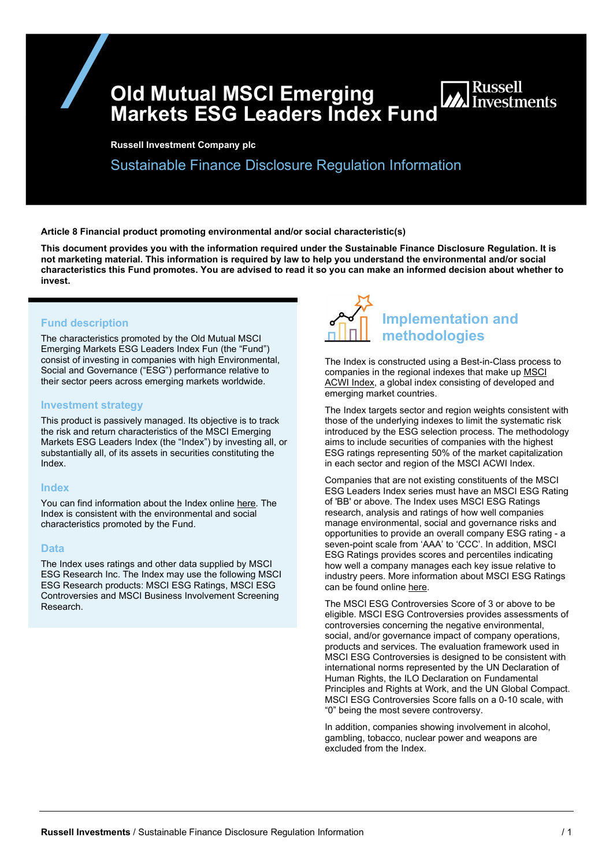Old Mutual MSCI Emerging Old Mutual MSCI Emerging<br>Markets ESG Leaders Index Fund

Russell Investment Company plc

Sustainable Finance Disclosure Regulation Information

Article 8 Financial product promoting environmental and/or social characteristic(s)

This document provides you with the information required under the Sustainable Finance Disclosure Regulation. It is not marketing material. This information is required by law to help you understand the environmental and/or social characteristics this Fund promotes. You are advised to read it so you can make an informed decision about whether to invest.

## Fund description

The characteristics promoted by the Old Mutual MSCI Emerging Markets ESG Leaders Index Fun (the "Fund") consist of investing in companies with high Environmental, Social and Governance ("ESG") performance relative to their sector peers across emerging markets worldwide.

### Investment strategy

This product is passively managed. Its objective is to track the risk and return characteristics of the MSCI Emerging Markets ESG Leaders Index (the "Index") by investing all, or substantially all, of its assets in securities constituting the Index.

## Index

You can find information about the Index online here. The Index is consistent with the environmental and social characteristics promoted by the Fund.

#### **Data**

The Index uses ratings and other data supplied by MSCI ESG Research Inc. The Index may use the following MSCI ESG Research products: MSCI ESG Ratings, MSCI ESG Controversies and MSCI Business Involvement Screening Research.



The Index is constructed using a Best-in-Class process to companies in the regional indexes that make up MSCI ACWI Index, a global index consisting of developed and emerging market countries.

The Index targets sector and region weights consistent with those of the underlying indexes to limit the systematic risk introduced by the ESG selection process. The methodology aims to include securities of companies with the highest ESG ratings representing 50% of the market capitalization in each sector and region of the MSCI ACWI Index.

Companies that are not existing constituents of the MSCI ESG Leaders Index series must have an MSCI ESG Rating of 'BB' or above. The Index uses MSCI ESG Ratings research, analysis and ratings of how well companies manage environmental, social and governance risks and opportunities to provide an overall company ESG rating - a seven-point scale from 'AAA' to 'CCC'. In addition, MSCI ESG Ratings provides scores and percentiles indicating how well a company manages each key issue relative to industry peers. More information about MSCI ESG Ratings can be found online here.

The MSCI ESG Controversies Score of 3 or above to be eligible. MSCI ESG Controversies provides assessments of controversies concerning the negative environmental, social, and/or governance impact of company operations, products and services. The evaluation framework used in MSCI ESG Controversies is designed to be consistent with international norms represented by the UN Declaration of Human Rights, the ILO Declaration on Fundamental Principles and Rights at Work, and the UN Global Compact. MSCI ESG Controversies Score falls on a 0-10 scale, with "0" being the most severe controversy.

In addition, companies showing involvement in alcohol, gambling, tobacco, nuclear power and weapons are excluded from the Index.